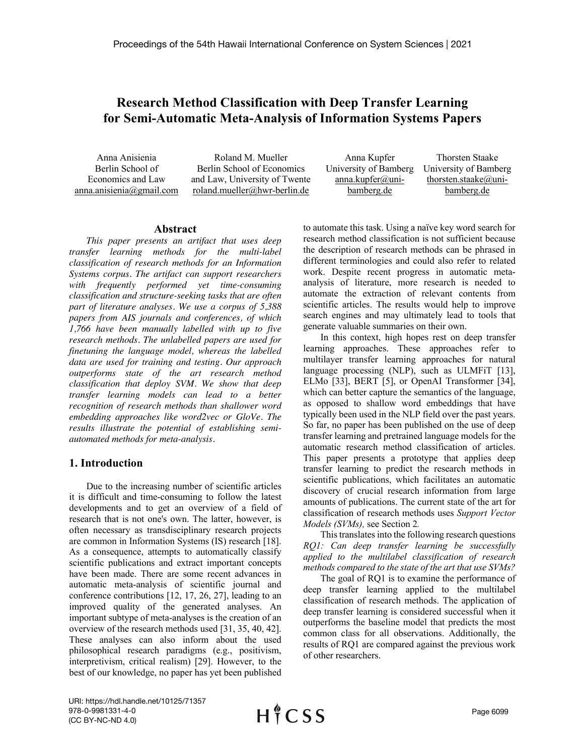# **Research Method Classification with Deep Transfer Learning for Semi-Automatic Meta-Analysis of Information Systems Papers**

Anna Anisienia Berlin School of Economics and Law anna.anisienia@gmail.com

Roland M. Mueller Berlin School of Economics and Law, University of Twente roland.mueller@hwr-berlin.de

| Anna Kupfer           | <b>Thorsten Staake</b> |
|-----------------------|------------------------|
| University of Bamberg | University of Bamberg  |
| anna.kupfer@uni-      | thorsten.staake@uni-   |
| bamberg.de            | bamberg.de             |

### **Abstract**

*This paper presents an artifact that uses deep transfer learning methods for the multi-label classification of research methods for an Information Systems corpus. The artifact can support researchers with frequently performed yet time-consuming classification and structure-seeking tasks that are often part of literature analyses. We use a corpus of 5,388 papers from AIS journals and conferences, of which 1,766 have been manually labelled with up to five research methods. The unlabelled papers are used for finetuning the language model, whereas the labelled data are used for training and testing. Our approach outperforms state of the art research method classification that deploy SVM. We show that deep transfer learning models can lead to a better recognition of research methods than shallower word embedding approaches like word2vec or GloVe. The results illustrate the potential of establishing semiautomated methods for meta-analysis.*

## **1. Introduction**

Due to the increasing number of scientific articles it is difficult and time-consuming to follow the latest developments and to get an overview of a field of research that is not one's own. The latter, however, is often necessary as transdisciplinary research projects are common in Information Systems (IS) research [18]. As a consequence, attempts to automatically classify scientific publications and extract important concepts have been made. There are some recent advances in automatic meta-analysis of scientific journal and conference contributions [12, 17, 26, 27], leading to an improved quality of the generated analyses. An important subtype of meta-analyses is the creation of an overview of the research methods used [31, 35, 40, 42]. These analyses can also inform about the used philosophical research paradigms (e.g., positivism, interpretivism, critical realism) [29]. However, to the best of our knowledge, no paper has yet been published to automate this task. Using a naïve key word search for research method classification is not sufficient because the description of research methods can be phrased in different terminologies and could also refer to related work. Despite recent progress in automatic metaanalysis of literature, more research is needed to automate the extraction of relevant contents from scientific articles. The results would help to improve search engines and may ultimately lead to tools that generate valuable summaries on their own.

In this context, high hopes rest on deep transfer learning approaches. These approaches refer to multilayer transfer learning approaches for natural language processing (NLP), such as ULMFiT [13], ELMo [33], BERT [5], or OpenAI Transformer [34], which can better capture the semantics of the language, as opposed to shallow word embeddings that have typically been used in the NLP field over the past years. So far, no paper has been published on the use of deep transfer learning and pretrained language models for the automatic research method classification of articles. This paper presents a prototype that applies deep transfer learning to predict the research methods in scientific publications, which facilitates an automatic discovery of crucial research information from large amounts of publications. The current state of the art for classification of research methods uses *Support Vector Models (SVMs),* see Section 2*.*

This translates into the following research questions *RQ1: Can deep transfer learning be successfully applied to the multilabel classification of research methods compared to the state of the art that use SVMs?*

The goal of RQ1 is to examine the performance of deep transfer learning applied to the multilabel classification of research methods. The application of deep transfer learning is considered successful when it outperforms the baseline model that predicts the most common class for all observations. Additionally, the results of RQ1 are compared against the previous work of other researchers.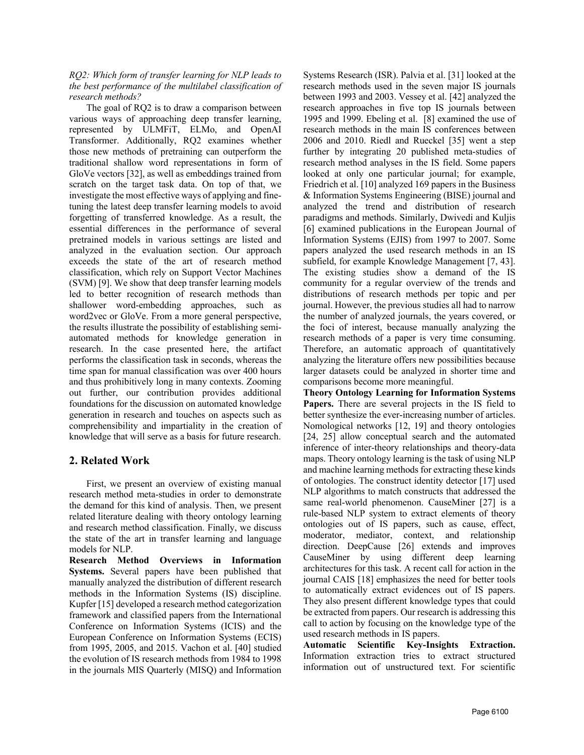*RQ2: Which form of transfer learning for NLP leads to the best performance of the multilabel classification of research methods?*

The goal of RQ2 is to draw a comparison between various ways of approaching deep transfer learning, represented by ULMFiT, ELMo, and OpenAI Transformer. Additionally, RQ2 examines whether those new methods of pretraining can outperform the traditional shallow word representations in form of GloVe vectors [32], as well as embeddings trained from scratch on the target task data. On top of that, we investigate the most effective ways of applying and finetuning the latest deep transfer learning models to avoid forgetting of transferred knowledge. As a result, the essential differences in the performance of several pretrained models in various settings are listed and analyzed in the evaluation section. Our approach exceeds the state of the art of research method classification, which rely on Support Vector Machines (SVM) [9]. We show that deep transfer learning models led to better recognition of research methods than shallower word-embedding approaches, such as word2vec or GloVe. From a more general perspective, the results illustrate the possibility of establishing semiautomated methods for knowledge generation in research. In the case presented here, the artifact performs the classification task in seconds, whereas the time span for manual classification was over 400 hours and thus prohibitively long in many contexts. Zooming out further, our contribution provides additional foundations for the discussion on automated knowledge generation in research and touches on aspects such as comprehensibility and impartiality in the creation of knowledge that will serve as a basis for future research.

## **2. Related Work**

First, we present an overview of existing manual research method meta-studies in order to demonstrate the demand for this kind of analysis. Then, we present related literature dealing with theory ontology learning and research method classification. Finally, we discuss the state of the art in transfer learning and language models for NLP.

**Research Method Overviews in Information Systems.** Several papers have been published that manually analyzed the distribution of different research methods in the Information Systems (IS) discipline. Kupfer [15] developed a research method categorization framework and classified papers from the International Conference on Information Systems (ICIS) and the European Conference on Information Systems (ECIS) from 1995, 2005, and 2015. Vachon et al. [40] studied the evolution of IS research methods from 1984 to 1998 in the journals MIS Quarterly (MISQ) and Information

Systems Research (ISR). Palvia et al. [31] looked at the research methods used in the seven major IS journals between 1993 and 2003. Vessey et al. [42] analyzed the research approaches in five top IS journals between 1995 and 1999. Ebeling et al. [8] examined the use of research methods in the main IS conferences between 2006 and 2010. Riedl and Rueckel [35] went a step further by integrating 20 published meta-studies of research method analyses in the IS field. Some papers looked at only one particular journal; for example, Friedrich et al. [10] analyzed 169 papers in the Business & Information Systems Engineering (BISE) journal and analyzed the trend and distribution of research paradigms and methods. Similarly, Dwivedi and Kuljis [6] examined publications in the European Journal of Information Systems (EJIS) from 1997 to 2007. Some papers analyzed the used research methods in an IS subfield, for example Knowledge Management [7, 43]. The existing studies show a demand of the IS community for a regular overview of the trends and distributions of research methods per topic and per journal. However, the previous studies all had to narrow the number of analyzed journals, the years covered, or the foci of interest, because manually analyzing the research methods of a paper is very time consuming. Therefore, an automatic approach of quantitatively analyzing the literature offers new possibilities because larger datasets could be analyzed in shorter time and comparisons become more meaningful.

**Theory Ontology Learning for Information Systems**  Papers. There are several projects in the IS field to better synthesize the ever-increasing number of articles. Nomological networks [12, 19] and theory ontologies [24, 25] allow conceptual search and the automated inference of inter-theory relationships and theory-data maps. Theory ontology learning is the task of using NLP and machine learning methods for extracting these kinds of ontologies. The construct identity detector [17] used NLP algorithms to match constructs that addressed the same real-world phenomenon. CauseMiner [27] is a rule-based NLP system to extract elements of theory ontologies out of IS papers, such as cause, effect, moderator, mediator, context, and relationship direction. DeepCause [26] extends and improves CauseMiner by using different deep learning architectures for this task. A recent call for action in the journal CAIS [18] emphasizes the need for better tools to automatically extract evidences out of IS papers. They also present different knowledge types that could be extracted from papers. Our research is addressing this call to action by focusing on the knowledge type of the used research methods in IS papers.

**Automatic Scientific Key-Insights Extraction.**  Information extraction tries to extract structured information out of unstructured text. For scientific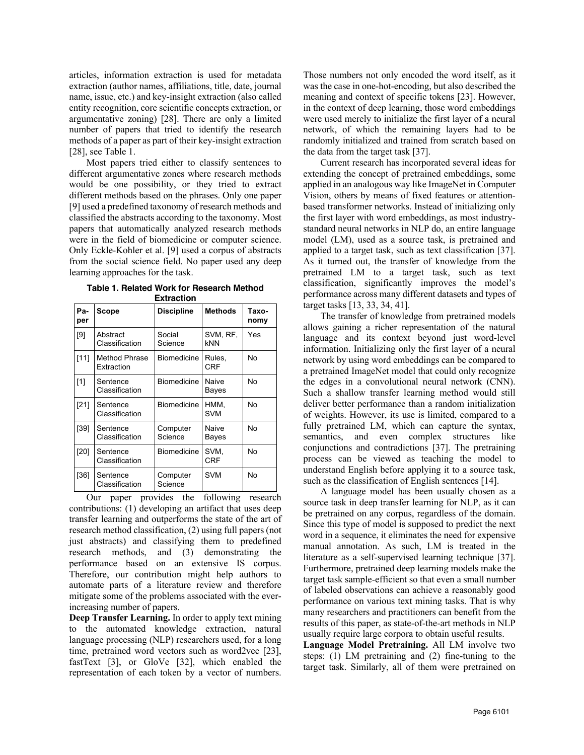articles, information extraction is used for metadata extraction (author names, affiliations, title, date, journal name, issue, etc.) and key-insight extraction (also called entity recognition, core scientific concepts extraction, or argumentative zoning) [28]. There are only a limited number of papers that tried to identify the research methods of a paper as part of their key-insight extraction [28], see Table 1.

Most papers tried either to classify sentences to different argumentative zones where research methods would be one possibility, or they tried to extract different methods based on the phrases. Only one paper [9] used a predefined taxonomy of research methods and classified the abstracts according to the taxonomy. Most papers that automatically analyzed research methods were in the field of biomedicine or computer science. Only Eckle-Kohler et al. [9] used a corpus of abstracts from the social science field. No paper used any deep learning approaches for the task.

| Pa-<br>per | Scope                       | <b>Discipline</b>                   | <b>Methods</b>     | Taxo-<br>nomy |
|------------|-----------------------------|-------------------------------------|--------------------|---------------|
| [9]        | Abstract<br>Classification  | Social<br>Science                   | SVM, RF,<br>kNN    | Yes           |
| [11]       | Method Phrase<br>Extraction | <b>Biomedicine</b><br>Rules,<br>CRF |                    | No            |
| [1]        | Sentence<br>Classification  | <b>Biomedicine</b>                  | Naive<br>Bayes     | No            |
| [21]       | Sentence<br>Classification  | <b>Biomedicine</b>                  | HMM,<br><b>SVM</b> | No            |
| [39]       | Sentence<br>Classification  | Computer<br>Science                 | Naive<br>Bayes     | No            |
| [20]       | Sentence<br>Classification  | <b>Biomedicine</b>                  | SVM,<br><b>CRF</b> | No            |
| $[36]$     | Sentence<br>Classification  | Computer<br>Science                 | <b>SVM</b>         | No            |

**Table 1. Related Work for Research Method** 

Our paper provides the following research contributions: (1) developing an artifact that uses deep transfer learning and outperforms the state of the art of research method classification, (2) using full papers (not just abstracts) and classifying them to predefined research methods, and (3) demonstrating the performance based on an extensive IS corpus. Therefore, our contribution might help authors to automate parts of a literature review and therefore mitigate some of the problems associated with the everincreasing number of papers.

**Deep Transfer Learning.** In order to apply text mining to the automated knowledge extraction, natural language processing (NLP) researchers used, for a long time, pretrained word vectors such as word2vec [23], fastText [3], or GloVe [32], which enabled the representation of each token by a vector of numbers. Those numbers not only encoded the word itself, as it was the case in one-hot-encoding, but also described the meaning and context of specific tokens [23]. However, in the context of deep learning, those word embeddings were used merely to initialize the first layer of a neural network, of which the remaining layers had to be randomly initialized and trained from scratch based on the data from the target task [37].

Current research has incorporated several ideas for extending the concept of pretrained embeddings, some applied in an analogous way like ImageNet in Computer Vision, others by means of fixed features or attentionbased transformer networks. Instead of initializing only the first layer with word embeddings, as most industrystandard neural networks in NLP do, an entire language model (LM), used as a source task, is pretrained and applied to a target task, such as text classification [37]. As it turned out, the transfer of knowledge from the pretrained LM to a target task, such as text classification, significantly improves the model's performance across many different datasets and types of target tasks [13, 33, 34, 41].

The transfer of knowledge from pretrained models allows gaining a richer representation of the natural language and its context beyond just word-level information. Initializing only the first layer of a neural network by using word embeddings can be compared to a pretrained ImageNet model that could only recognize the edges in a convolutional neural network (CNN). Such a shallow transfer learning method would still deliver better performance than a random initialization of weights. However, its use is limited, compared to a fully pretrained LM, which can capture the syntax, semantics, and even complex structures like conjunctions and contradictions [37]. The pretraining process can be viewed as teaching the model to understand English before applying it to a source task, such as the classification of English sentences [14].

A language model has been usually chosen as a source task in deep transfer learning for NLP, as it can be pretrained on any corpus, regardless of the domain. Since this type of model is supposed to predict the next word in a sequence, it eliminates the need for expensive manual annotation. As such, LM is treated in the literature as a self-supervised learning technique [37]. Furthermore, pretrained deep learning models make the target task sample-efficient so that even a small number of labeled observations can achieve a reasonably good performance on various text mining tasks. That is why many researchers and practitioners can benefit from the results of this paper, as state-of-the-art methods in NLP usually require large corpora to obtain useful results.

**Language Model Pretraining.** All LM involve two steps: (1) LM pretraining and (2) fine-tuning to the target task. Similarly, all of them were pretrained on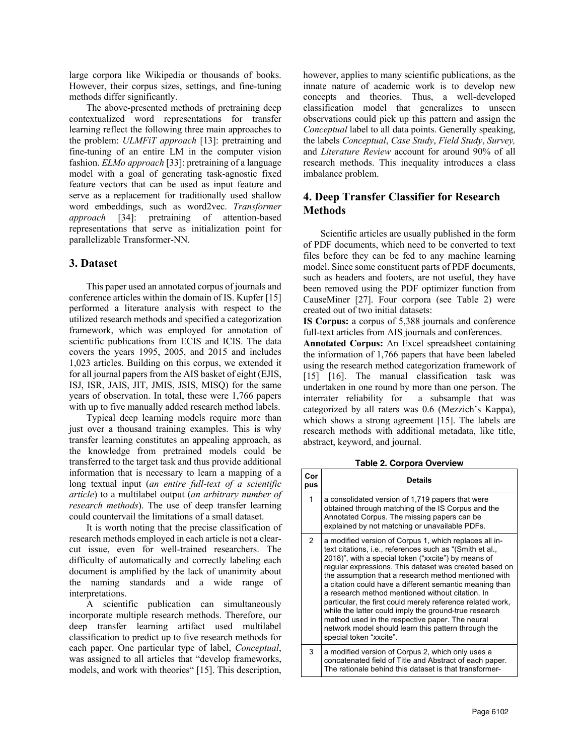large corpora like Wikipedia or thousands of books. However, their corpus sizes, settings, and fine-tuning methods differ significantly.

The above-presented methods of pretraining deep contextualized word representations for transfer learning reflect the following three main approaches to the problem: *ULMFiT approach* [13]: pretraining and fine-tuning of an entire LM in the computer vision fashion. *ELMo approach* [33]: pretraining of a language model with a goal of generating task-agnostic fixed feature vectors that can be used as input feature and serve as a replacement for traditionally used shallow word embeddings, such as word2vec. *Transformer approach* [34]: pretraining of attention-based representations that serve as initialization point for parallelizable Transformer-NN.

### **3. Dataset**

This paper used an annotated corpus of journals and conference articles within the domain of IS. Kupfer [15] performed a literature analysis with respect to the utilized research methods and specified a categorization framework, which was employed for annotation of scientific publications from ECIS and ICIS. The data covers the years 1995, 2005, and 2015 and includes 1,023 articles. Building on this corpus, we extended it for all journal papers from the AIS basket of eight (EJIS, ISJ, ISR, JAIS, JIT, JMIS, JSIS, MISQ) for the same years of observation. In total, these were 1,766 papers with up to five manually added research method labels.

Typical deep learning models require more than just over a thousand training examples. This is why transfer learning constitutes an appealing approach, as the knowledge from pretrained models could be transferred to the target task and thus provide additional information that is necessary to learn a mapping of a long textual input (*an entire full-text of a scientific article*) to a multilabel output (*an arbitrary number of research methods*). The use of deep transfer learning could countervail the limitations of a small dataset.

It is worth noting that the precise classification of research methods employed in each article is not a clearcut issue, even for well-trained researchers. The difficulty of automatically and correctly labeling each document is amplified by the lack of unanimity about the naming standards and a wide range of interpretations.

A scientific publication can simultaneously incorporate multiple research methods. Therefore, our deep transfer learning artifact used multilabel classification to predict up to five research methods for each paper. One particular type of label, *Conceptual*, was assigned to all articles that "develop frameworks, models, and work with theories" [15]. This description, however, applies to many scientific publications, as the innate nature of academic work is to develop new concepts and theories. Thus, a well-developed classification model that generalizes to unseen observations could pick up this pattern and assign the *Conceptual* label to all data points. Generally speaking, the labels *Conceptual*, *Case Study*, *Field Study*, *Survey,* and *Literature Review* account for around 90% of all research methods. This inequality introduces a class imbalance problem.

## **4. Deep Transfer Classifier for Research Methods**

Scientific articles are usually published in the form of PDF documents, which need to be converted to text files before they can be fed to any machine learning model. Since some constituent parts of PDF documents, such as headers and footers, are not useful, they have been removed using the PDF optimizer function from CauseMiner [27]. Four corpora (see Table 2) were created out of two initial datasets:

**IS Corpus:** a corpus of 5,388 journals and conference full-text articles from AIS journals and conferences.

**Annotated Corpus:** An Excel spreadsheet containing the information of 1,766 papers that have been labeled using the research method categorization framework of [15] [16]. The manual classification task was undertaken in one round by more than one person. The interrater reliability for a subsample that was categorized by all raters was 0.6 (Mezzich's Kappa), which shows a strong agreement [15]. The labels are research methods with additional metadata, like title, abstract, keyword, and journal.

**Table 2. Corpora Overview** 

| Cor<br>pus | <b>Details</b>                                                                                                                                                                                                                                                                                                                                                                                                                                                                                                                                                                                                                                                         |
|------------|------------------------------------------------------------------------------------------------------------------------------------------------------------------------------------------------------------------------------------------------------------------------------------------------------------------------------------------------------------------------------------------------------------------------------------------------------------------------------------------------------------------------------------------------------------------------------------------------------------------------------------------------------------------------|
| 1          | a consolidated version of 1,719 papers that were<br>obtained through matching of the IS Corpus and the<br>Annotated Corpus. The missing papers can be<br>explained by not matching or unavailable PDFs.                                                                                                                                                                                                                                                                                                                                                                                                                                                                |
| 2          | a modified version of Corpus 1, which replaces all in-<br>text citations, i.e., references such as "(Smith et al.,<br>2018)", with a special token ("xxcite") by means of<br>regular expressions. This dataset was created based on<br>the assumption that a research method mentioned with<br>a citation could have a different semantic meaning than<br>a research method mentioned without citation. In<br>particular, the first could merely reference related work,<br>while the latter could imply the ground-true research<br>method used in the respective paper. The neural<br>network model should learn this pattern through the<br>special token "xxcite". |
| 3          | a modified version of Corpus 2, which only uses a<br>concatenated field of Title and Abstract of each paper.<br>The rationale behind this dataset is that transformer-                                                                                                                                                                                                                                                                                                                                                                                                                                                                                                 |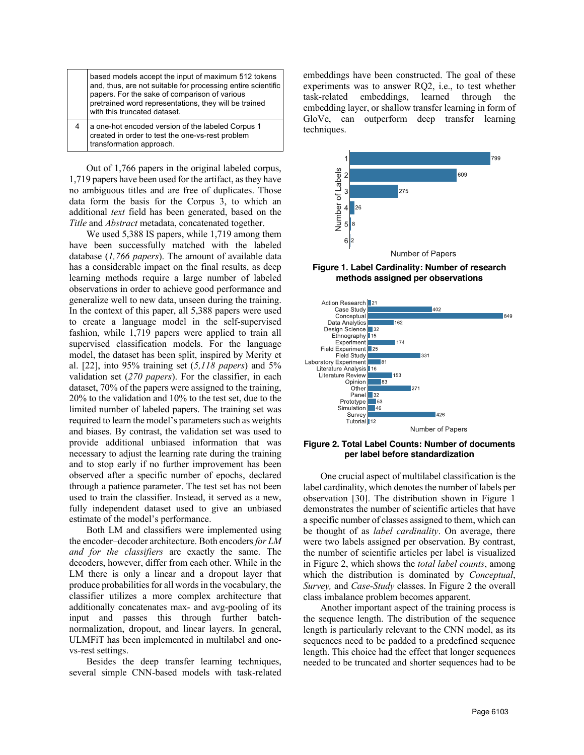based models accept the input of maximum 512 tokens and, thus, are not suitable for processing entire scientific papers. For the sake of comparison of various pretrained word representations, they will be trained with this truncated dataset.

4 a one-hot encoded version of the labeled Corpus 1 created in order to test the one-vs-rest problem transformation approach.

Out of 1,766 papers in the original labeled corpus, 1,719 papers have been used for the artifact, as they have no ambiguous titles and are free of duplicates. Those data form the basis for the Corpus 3, to which an additional *text* field has been generated, based on the *Title* and *Abstract* metadata, concatenated together.

We used 5,388 IS papers, while 1,719 among them have been successfully matched with the labeled database (*1,766 papers*). The amount of available data has a considerable impact on the final results, as deep learning methods require a large number of labeled observations in order to achieve good performance and generalize well to new data, unseen during the training. In the context of this paper, all 5,388 papers were used to create a language model in the self-supervised fashion, while 1,719 papers were applied to train all supervised classification models. For the language model, the dataset has been split, inspired by Merity et al. [22], into 95% training set (*5,118 papers*) and 5% validation set (*270 papers*). For the classifier, in each dataset, 70% of the papers were assigned to the training, 20% to the validation and 10% to the test set, due to the limited number of labeled papers. The training set was required to learn the model's parameters such as weights and biases. By contrast, the validation set was used to provide additional unbiased information that was necessary to adjust the learning rate during the training and to stop early if no further improvement has been observed after a specific number of epochs, declared through a patience parameter. The test set has not been used to train the classifier. Instead, it served as a new, fully independent dataset used to give an unbiased estimate of the model's performance.

Both LM and classifiers were implemented using the encoder–decoder architecture. Both encoders *for LM and for the classifiers* are exactly the same. The decoders, however, differ from each other. While in the LM there is only a linear and a dropout layer that produce probabilities for all words in the vocabulary, the classifier utilizes a more complex architecture that additionally concatenates max- and avg-pooling of its input and passes this through further batchnormalization, dropout, and linear layers. In general, ULMFiT has been implemented in multilabel and onevs-rest settings.

Besides the deep transfer learning techniques, several simple CNN-based models with task-related embeddings have been constructed. The goal of these experiments was to answer RQ2, i.e., to test whether task-related embeddings, learned through the embedding layer, or shallow transfer learning in form of GloVe, can outperform deep transfer learning techniques.



**Figure 1. Label Cardinality: Number of research methods assigned per observations**



**Figure 2. Total Label Counts: Number of documents per label before standardization**

One crucial aspect of multilabel classification is the label cardinality, which denotes the number of labels per observation [30]. The distribution shown in Figure 1 demonstrates the number of scientific articles that have a specific number of classes assigned to them, which can be thought of as *label cardinality*. On average, there were two labels assigned per observation. By contrast, the number of scientific articles per label is visualized in Figure 2, which shows the *total label counts*, among which the distribution is dominated by *Conceptual*, *Survey,* and *Case-Study* classes. In Figure 2 the overall class imbalance problem becomes apparent.

Another important aspect of the training process is the sequence length. The distribution of the sequence length is particularly relevant to the CNN model, as its sequences need to be padded to a predefined sequence length. This choice had the effect that longer sequences needed to be truncated and shorter sequences had to be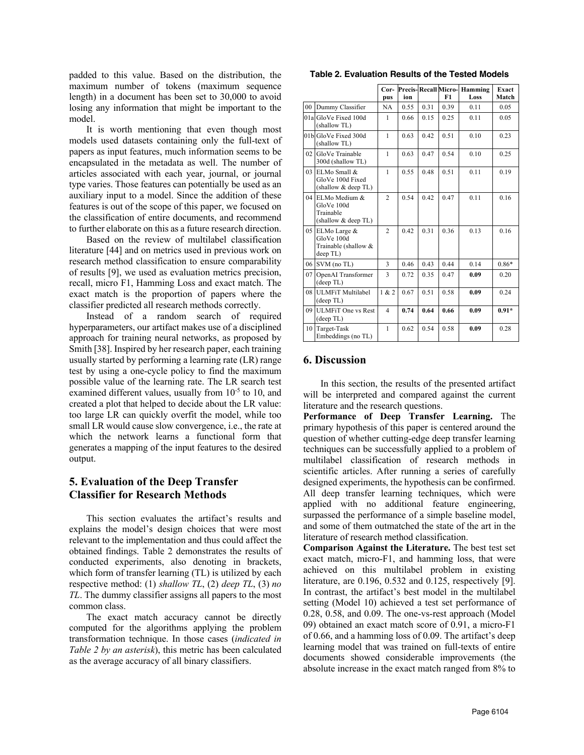padded to this value. Based on the distribution, the maximum number of tokens (maximum sequence length) in a document has been set to 30,000 to avoid losing any information that might be important to the model.

It is worth mentioning that even though most models used datasets containing only the full-text of papers as input features, much information seems to be encapsulated in the metadata as well. The number of articles associated with each year, journal, or journal type varies. Those features can potentially be used as an auxiliary input to a model. Since the addition of these features is out of the scope of this paper, we focused on the classification of entire documents, and recommend to further elaborate on this as a future research direction.

Based on the review of multilabel classification literature [44] and on metrics used in previous work on research method classification to ensure comparability of results [9], we used as evaluation metrics precision, recall, micro F1, Hamming Loss and exact match. The exact match is the proportion of papers where the classifier predicted all research methods correctly.

Instead of a random search of required hyperparameters, our artifact makes use of a disciplined approach for training neural networks, as proposed by Smith [38]. Inspired by her research paper, each training usually started by performing a learning rate (LR) range test by using a one-cycle policy to find the maximum possible value of the learning rate. The LR search test examined different values, usually from 10<sup>-5</sup> to 10, and created a plot that helped to decide about the LR value: too large LR can quickly overfit the model, while too small LR would cause slow convergence, i.e., the rate at which the network learns a functional form that generates a mapping of the input features to the desired output.

## **5. Evaluation of the Deep Transfer Classifier for Research Methods**

This section evaluates the artifact's results and explains the model's design choices that were most relevant to the implementation and thus could affect the obtained findings. Table 2 demonstrates the results of conducted experiments, also denoting in brackets, which form of transfer learning (TL) is utilized by each respective method: (1) *shallow TL*, (2) *deep TL*, (3) *no TL*. The dummy classifier assigns all papers to the most common class.

The exact match accuracy cannot be directly computed for the algorithms applying the problem transformation technique. In those cases (*indicated in Table 2 by an asterisk*), this metric has been calculated as the average accuracy of all binary classifiers.

**Table 2. Evaluation Results of the Tested Models**

|        |                                                                    | Precis-Recall Micro-    |      |      |      |                 |                       |
|--------|--------------------------------------------------------------------|-------------------------|------|------|------|-----------------|-----------------------|
|        |                                                                    | Cor-<br>pus             | ion  |      | F1   | Hamming<br>Loss | <b>Exact</b><br>Match |
| $00\,$ | Dummy Classifier                                                   | NA                      | 0.55 | 0.31 | 0.39 | 0.11            | 0.05                  |
|        | 01a GloVe Fixed 100d<br>(shallow TL)                               | $\mathbf{1}$            | 0.66 | 0.15 | 0.25 | 0.11            | 0.05                  |
|        | 01b GloVe Fixed 300d<br>(shallow TL)                               | $\mathbf{1}$            | 0.63 | 0.42 | 0.51 | 0.10            | 0.23                  |
| 02     | GloVe Trainable<br>300d (shallow TL)                               | $\mathbf{1}$            | 0.63 | 0.47 | 0.54 | 0.10            | 0.25                  |
| 03     | ELMo Small &<br>GloVe 100d Fixed<br>(shallow & deep TL)            | $\mathbf{1}$            | 0.55 | 0.48 | 0.51 | 0.11            | 0.19                  |
|        | 04 ELMo Medium &<br>GloVe 100d<br>Trainable<br>(shallow & deep TL) | $\overline{c}$          | 0.54 | 0.42 | 0.47 | 0.11            | 0.16                  |
| 05     | ELMo Large &<br>GloVe 100d<br>Trainable (shallow &<br>deep TL)     | $\mathfrak{D}$          | 0.42 | 0.31 | 0.36 | 0.13            | 0.16                  |
| 06     | SVM (no TL)                                                        | 3                       | 0.46 | 0.43 | 0.44 | 0.14            | $0.86*$               |
| 07     | OpenAI Transformer<br>(deep TL)                                    | 3                       | 0.72 | 0.35 | 0.47 | 0.09            | 0.20                  |
| 08     | <b>ULMFiT Multilabel</b><br>(deep TL)                              | 1 & 2                   | 0.67 | 0.51 | 0.58 | 0.09            | 0.24                  |
|        | 09 ULMFiT One vs Rest<br>(deep TL)                                 | $\overline{\mathbf{4}}$ | 0.74 | 0.64 | 0.66 | 0.09            | $0.91*$               |
| 10     | Target-Task<br>Embeddings (no TL)                                  | $\mathbf{1}$            | 0.62 | 0.54 | 0.58 | 0.09            | 0.28                  |

#### **6. Discussion**

In this section, the results of the presented artifact will be interpreted and compared against the current literature and the research questions.

**Performance of Deep Transfer Learning.** The primary hypothesis of this paper is centered around the question of whether cutting-edge deep transfer learning techniques can be successfully applied to a problem of multilabel classification of research methods in scientific articles. After running a series of carefully designed experiments, the hypothesis can be confirmed. All deep transfer learning techniques, which were applied with no additional feature engineering, surpassed the performance of a simple baseline model, and some of them outmatched the state of the art in the literature of research method classification.

**Comparison Against the Literature.** The best test set exact match, micro-F1, and hamming loss, that were achieved on this multilabel problem in existing literature, are 0.196, 0.532 and 0.125, respectively [9]. In contrast, the artifact's best model in the multilabel setting (Model 10) achieved a test set performance of 0.28, 0.58, and 0.09. The one-vs-rest approach (Model 09) obtained an exact match score of 0.91, a micro-F1 of 0.66, and a hamming loss of 0.09. The artifact's deep learning model that was trained on full-texts of entire documents showed considerable improvements (the absolute increase in the exact match ranged from 8% to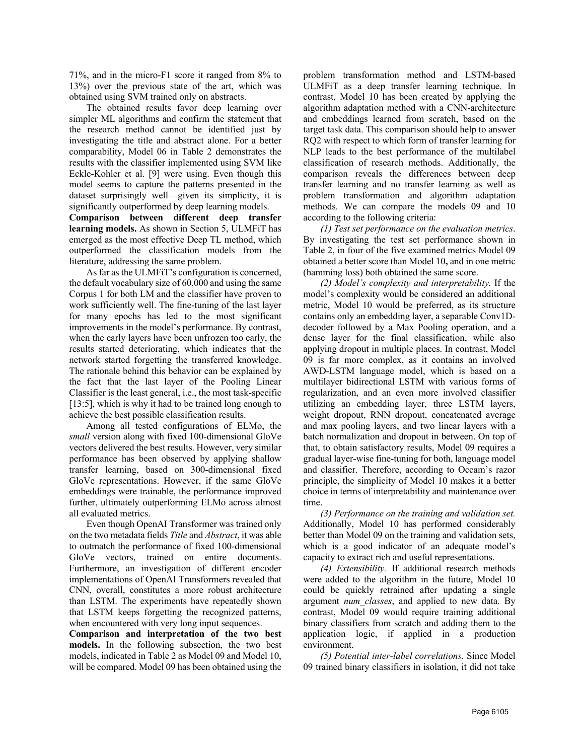71%, and in the micro-F1 score it ranged from 8% to 13%) over the previous state of the art, which was obtained using SVM trained only on abstracts.

The obtained results favor deep learning over simpler ML algorithms and confirm the statement that the research method cannot be identified just by investigating the title and abstract alone. For a better comparability, Model 06 in Table 2 demonstrates the results with the classifier implemented using SVM like Eckle-Kohler et al. [9] were using. Even though this model seems to capture the patterns presented in the dataset surprisingly well—given its simplicity, it is significantly outperformed by deep learning models.

**Comparison between different deep transfer learning models.** As shown in Section 5, ULMFiT has emerged as the most effective Deep TL method, which outperformed the classification models from the literature, addressing the same problem.

As far as the ULMFiT's configuration is concerned, the default vocabulary size of 60,000 and using the same Corpus 1 for both LM and the classifier have proven to work sufficiently well. The fine-tuning of the last layer for many epochs has led to the most significant improvements in the model's performance. By contrast, when the early layers have been unfrozen too early, the results started deteriorating, which indicates that the network started forgetting the transferred knowledge. The rationale behind this behavior can be explained by the fact that the last layer of the Pooling Linear Classifier is the least general, i.e., the most task-specific [13:5], which is why it had to be trained long enough to achieve the best possible classification results.

Among all tested configurations of ELMo, the *small* version along with fixed 100-dimensional GloVe vectors delivered the best results. However, very similar performance has been observed by applying shallow transfer learning, based on 300-dimensional fixed GloVe representations. However, if the same GloVe embeddings were trainable, the performance improved further, ultimately outperforming ELMo across almost all evaluated metrics.

Even though OpenAI Transformer was trained only on the two metadata fields *Title* and *Abstract*, it was able to outmatch the performance of fixed 100-dimensional GloVe vectors, trained on entire documents. Furthermore, an investigation of different encoder implementations of OpenAI Transformers revealed that CNN, overall, constitutes a more robust architecture than LSTM. The experiments have repeatedly shown that LSTM keeps forgetting the recognized patterns, when encountered with very long input sequences.

**Comparison and interpretation of the two best models.** In the following subsection, the two best models, indicated in Table 2 as Model 09 and Model 10, will be compared. Model 09 has been obtained using the

problem transformation method and LSTM-based ULMFiT as a deep transfer learning technique. In contrast, Model 10 has been created by applying the algorithm adaptation method with a CNN-architecture and embeddings learned from scratch, based on the target task data. This comparison should help to answer RQ2 with respect to which form of transfer learning for NLP leads to the best performance of the multilabel classification of research methods. Additionally, the comparison reveals the differences between deep transfer learning and no transfer learning as well as problem transformation and algorithm adaptation methods. We can compare the models 09 and 10 according to the following criteria:

*(1) Test set performance on the evaluation metrics*. By investigating the test set performance shown in Table 2, in four of the five examined metrics Model 09 obtained a better score than Model 10**,** and in one metric (hamming loss) both obtained the same score.

*(2) Model's complexity and interpretability.* If the model's complexity would be considered an additional metric, Model 10 would be preferred, as its structure contains only an embedding layer, a separable Conv1Ddecoder followed by a Max Pooling operation, and a dense layer for the final classification, while also applying dropout in multiple places. In contrast, Model 09 is far more complex, as it contains an involved AWD-LSTM language model, which is based on a multilayer bidirectional LSTM with various forms of regularization, and an even more involved classifier utilizing an embedding layer, three LSTM layers, weight dropout, RNN dropout, concatenated average and max pooling layers, and two linear layers with a batch normalization and dropout in between. On top of that, to obtain satisfactory results, Model 09 requires a gradual layer-wise fine-tuning for both, language model and classifier. Therefore, according to Occam's razor principle, the simplicity of Model 10 makes it a better choice in terms of interpretability and maintenance over time.

*(3) Performance on the training and validation set.*  Additionally, Model 10 has performed considerably better than Model 09 on the training and validation sets, which is a good indicator of an adequate model's capacity to extract rich and useful representations.

*(4) Extensibility.* If additional research methods were added to the algorithm in the future, Model 10 could be quickly retrained after updating a single argument *num\_classes*, and applied to new data. By contrast, Model 09 would require training additional binary classifiers from scratch and adding them to the application logic, if applied in a production environment.

*(5) Potential inter-label correlations.* Since Model 09 trained binary classifiers in isolation, it did not take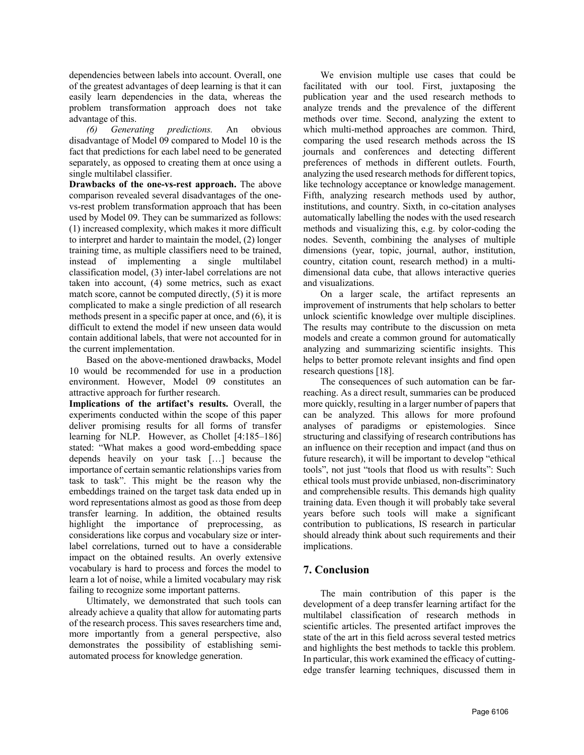dependencies between labels into account. Overall, one of the greatest advantages of deep learning is that it can easily learn dependencies in the data, whereas the problem transformation approach does not take advantage of this.

*(6) Generating predictions.* An obvious disadvantage of Model 09 compared to Model 10 is the fact that predictions for each label need to be generated separately, as opposed to creating them at once using a single multilabel classifier.

**Drawbacks of the one-vs-rest approach.** The above comparison revealed several disadvantages of the onevs-rest problem transformation approach that has been used by Model 09. They can be summarized as follows: (1) increased complexity, which makes it more difficult to interpret and harder to maintain the model, (2) longer training time, as multiple classifiers need to be trained, instead of implementing a single multilabel classification model, (3) inter-label correlations are not taken into account, (4) some metrics, such as exact match score, cannot be computed directly, (5) it is more complicated to make a single prediction of all research methods present in a specific paper at once, and (6), it is difficult to extend the model if new unseen data would contain additional labels, that were not accounted for in the current implementation.

Based on the above-mentioned drawbacks, Model 10 would be recommended for use in a production environment. However, Model 09 constitutes an attractive approach for further research.

**Implications of the artifact's results.** Overall, the experiments conducted within the scope of this paper deliver promising results for all forms of transfer learning for NLP. However, as Chollet [4:185–186] stated: "What makes a good word-embedding space depends heavily on your task […] because the importance of certain semantic relationships varies from task to task". This might be the reason why the embeddings trained on the target task data ended up in word representations almost as good as those from deep transfer learning. In addition, the obtained results highlight the importance of preprocessing, as considerations like corpus and vocabulary size or interlabel correlations, turned out to have a considerable impact on the obtained results. An overly extensive vocabulary is hard to process and forces the model to learn a lot of noise, while a limited vocabulary may risk failing to recognize some important patterns.

Ultimately, we demonstrated that such tools can already achieve a quality that allow for automating parts of the research process. This saves researchers time and, more importantly from a general perspective, also demonstrates the possibility of establishing semiautomated process for knowledge generation.

We envision multiple use cases that could be facilitated with our tool. First, juxtaposing the publication year and the used research methods to analyze trends and the prevalence of the different methods over time. Second, analyzing the extent to which multi-method approaches are common. Third, comparing the used research methods across the IS journals and conferences and detecting different preferences of methods in different outlets. Fourth, analyzing the used research methods for different topics, like technology acceptance or knowledge management. Fifth, analyzing research methods used by author, institutions, and country. Sixth, in co-citation analyses automatically labelling the nodes with the used research methods and visualizing this, e.g. by color-coding the nodes. Seventh, combining the analyses of multiple dimensions (year, topic, journal, author, institution, country, citation count, research method) in a multidimensional data cube, that allows interactive queries and visualizations.

On a larger scale, the artifact represents an improvement of instruments that help scholars to better unlock scientific knowledge over multiple disciplines. The results may contribute to the discussion on meta models and create a common ground for automatically analyzing and summarizing scientific insights. This helps to better promote relevant insights and find open research questions [18].

The consequences of such automation can be farreaching. As a direct result, summaries can be produced more quickly, resulting in a larger number of papers that can be analyzed. This allows for more profound analyses of paradigms or epistemologies. Since structuring and classifying of research contributions has an influence on their reception and impact (and thus on future research), it will be important to develop "ethical tools", not just "tools that flood us with results": Such ethical tools must provide unbiased, non-discriminatory and comprehensible results. This demands high quality training data. Even though it will probably take several years before such tools will make a significant contribution to publications, IS research in particular should already think about such requirements and their implications.

## **7. Conclusion**

The main contribution of this paper is the development of a deep transfer learning artifact for the multilabel classification of research methods in scientific articles. The presented artifact improves the state of the art in this field across several tested metrics and highlights the best methods to tackle this problem. In particular, this work examined the efficacy of cuttingedge transfer learning techniques, discussed them in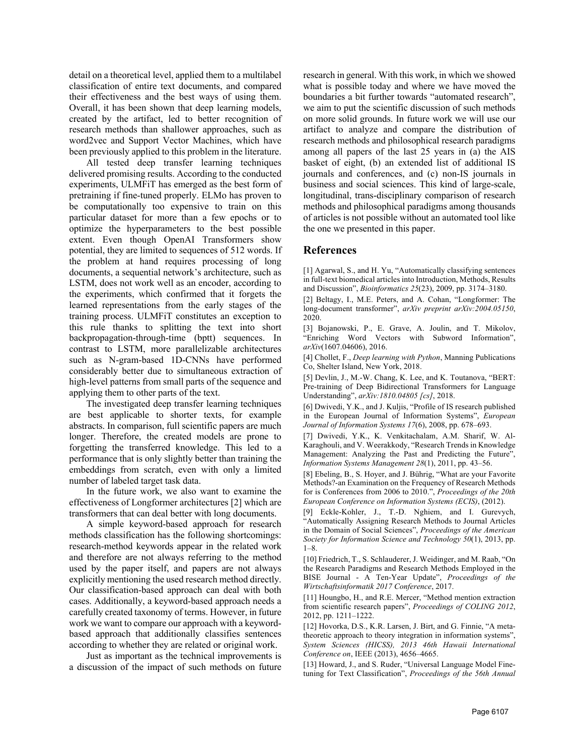detail on a theoretical level, applied them to a multilabel classification of entire text documents, and compared their effectiveness and the best ways of using them. Overall, it has been shown that deep learning models, created by the artifact, led to better recognition of research methods than shallower approaches, such as word2vec and Support Vector Machines, which have been previously applied to this problem in the literature.

All tested deep transfer learning techniques delivered promising results. According to the conducted experiments, ULMFiT has emerged as the best form of pretraining if fine-tuned properly. ELMo has proven to be computationally too expensive to train on this particular dataset for more than a few epochs or to optimize the hyperparameters to the best possible extent. Even though OpenAI Transformers show potential, they are limited to sequences of 512 words. If the problem at hand requires processing of long documents, a sequential network's architecture, such as LSTM, does not work well as an encoder, according to the experiments, which confirmed that it forgets the learned representations from the early stages of the training process. ULMFiT constitutes an exception to this rule thanks to splitting the text into short backpropagation-through-time (bptt) sequences. In contrast to LSTM, more parallelizable architectures such as N-gram-based 1D-CNNs have performed considerably better due to simultaneous extraction of high-level patterns from small parts of the sequence and applying them to other parts of the text.

The investigated deep transfer learning techniques are best applicable to shorter texts, for example abstracts. In comparison, full scientific papers are much longer. Therefore, the created models are prone to forgetting the transferred knowledge. This led to a performance that is only slightly better than training the embeddings from scratch, even with only a limited number of labeled target task data.

In the future work, we also want to examine the effectiveness of Longformer architectures [2] which are transformers that can deal better with long documents.

A simple keyword-based approach for research methods classification has the following shortcomings: research-method keywords appear in the related work and therefore are not always referring to the method used by the paper itself, and papers are not always explicitly mentioning the used research method directly. Our classification-based approach can deal with both cases. Additionally, a keyword-based approach needs a carefully created taxonomy of terms. However, in future work we want to compare our approach with a keywordbased approach that additionally classifies sentences according to whether they are related or original work.

Just as important as the technical improvements is a discussion of the impact of such methods on future

research in general. With this work, in which we showed what is possible today and where we have moved the boundaries a bit further towards "automated research", we aim to put the scientific discussion of such methods on more solid grounds. In future work we will use our artifact to analyze and compare the distribution of research methods and philosophical research paradigms among all papers of the last 25 years in (a) the AIS basket of eight, (b) an extended list of additional IS journals and conferences, and (c) non-IS journals in business and social sciences. This kind of large-scale, longitudinal, trans-disciplinary comparison of research methods and philosophical paradigms among thousands of articles is not possible without an automated tool like the one we presented in this paper.

### **References**

[1] Agarwal, S., and H. Yu, "Automatically classifying sentences in full-text biomedical articles into Introduction, Methods, Results and Discussion", *Bioinformatics 25*(23), 2009, pp. 3174–3180.

[2] Beltagy, I., M.E. Peters, and A. Cohan, "Longformer: The long-document transformer", *arXiv preprint arXiv:2004.05150*, 2020.

[3] Bojanowski, P., E. Grave, A. Joulin, and T. Mikolov, "Enriching Word Vectors with Subword Information", *arXiv*(1607.04606), 2016.

[4] Chollet, F., *Deep learning with Python*, Manning Publications Co, Shelter Island, New York, 2018.

[5] Devlin, J., M.-W. Chang, K. Lee, and K. Toutanova, "BERT: Pre-training of Deep Bidirectional Transformers for Language Understanding", *arXiv:1810.04805 [cs]*, 2018.

[6] Dwivedi, Y.K., and J. Kuljis, "Profile of IS research published in the European Journal of Information Systems", *European Journal of Information Systems 17*(6), 2008, pp. 678–693.

[7] Dwivedi, Y.K., K. Venkitachalam, A.M. Sharif, W. Al-Karaghouli, and V. Weerakkody, "Research Trends in Knowledge Management: Analyzing the Past and Predicting the Future", *Information Systems Management 28*(1), 2011, pp. 43–56.

[8] Ebeling, B., S. Hoyer, and J. Bührig, "What are your Favorite Methods?-an Examination on the Frequency of Research Methods for is Conferences from 2006 to 2010.", *Proceedings of the 20th European Conference on Information Systems (ECIS)*, (2012).

[9] Eckle-Kohler, J., T.-D. Nghiem, and I. Gurevych, "Automatically Assigning Research Methods to Journal Articles in the Domain of Social Sciences", *Proceedings of the American Society for Information Science and Technology 50*(1), 2013, pp. 1–8.

[10] Friedrich, T., S. Schlauderer, J. Weidinger, and M. Raab, "On the Research Paradigms and Research Methods Employed in the BISE Journal - A Ten-Year Update", *Proceedings of the Wirtschaftsinformatik 2017 Conference*, 2017.

[11] Houngbo, H., and R.E. Mercer, "Method mention extraction from scientific research papers", *Proceedings of COLING 2012*, 2012, pp. 1211–1222.

[12] Hovorka, D.S., K.R. Larsen, J. Birt, and G. Finnie, "A metatheoretic approach to theory integration in information systems", *System Sciences (HICSS), 2013 46th Hawaii International Conference on*, IEEE (2013), 4656–4665.

[13] Howard, J., and S. Ruder, "Universal Language Model Finetuning for Text Classification", *Proceedings of the 56th Annual*